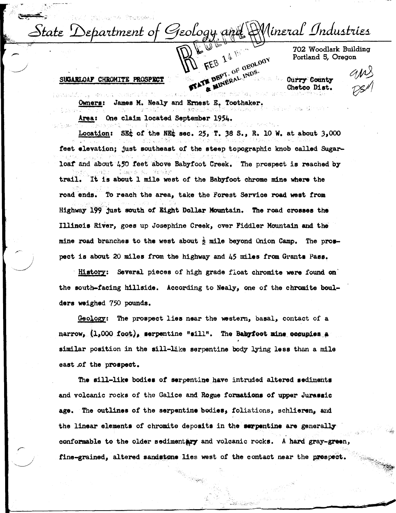Wineral Industries  $\Delta t$ at $\varepsilon$  . Sebartment of Geology and FEB 14 19 or

702 Woodlark Building Portland 5, Oregon

FEB 14 IN DEOLOGY **Curry County** Ohetco Diet.

#### SUGARLOAF CHROMITE PROSPECT

James M. Nealy and Ernest E. Toothaker.

Area: One claim located September 1954.

Location: SE<sub> $\ddot{\text{L}}$ </sub> of the NE $\ddot{\text{L}}$  sec. 25, T. 38 S., R. 10 W. at about 3,000 feet elevation; just southeast *ot* the steep topographic knob called Sugarloaf and about 450 feet above Babyfoot Creek. The prospect is reached by , for  $\mathcal{A} \subset \mathcal{A}$  , where trail. It is about 1 mile west of the Babyfoot chrome mine where the road ends. To reach the area, take the Forest Service road west from Highway 199 just south of llight Dollar !fountain. The road **croaaee** the Illinois River, goes up Josephine Creek, over Fiddler Mountain and the mine road branches to the west about  $\frac{1}{2}$  mile beyond Onion Camp. The prospect is about 20 miles from the highway and 45 miles from Granta Pase.

History: Several pieces of high grade float chromite were found on the south-facing hillside. According to Nealy, one of the chromite boulders weighed 750 pounds.

Geology: The prospect lies near the western, basal, contact of a narrow,  $(1,000 \text{ foot})$ , serpentine "sill". The **Babyfoot mine occupies** a similar position in the sill-like serpentine body lying less than a mile east of the **prospect**.

**The sill-like bodies** of serpentine have intruded altered **sediments**  and volcanic rocks of the Galice and Rogue formations *ot* upper **Juraaeic**  age. The outlines of the serpentine bodies, foliations, schlieren, and the linear elements of chromite deposits in the surpentine are generally conformable to the older sedimentary and volcanic rocks. A hard gray-green, fine-grained, altered sandstone lies west of the contact near the prespect.

المجاورة والكافة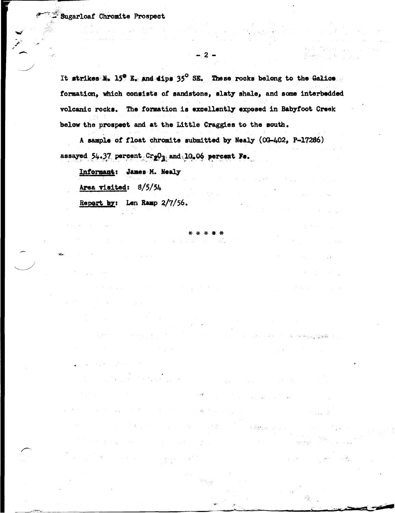It strikes  $N_*$  15<sup>0</sup> E. and dips 35<sup>0</sup> SE. These rocks belong to the Galice formation, which consists of sandstone, slaty shale, and some interbedded volcanic rocks. The formation is excellently exposed in Babyfoot Creek below the prospect and at the Little Craggies to the south.

 $-2-$ 

A sample of float chromite submitted by Nealy (0G-402, P-17286) assayed  $54.37$  percent  $Cr_2O_3$  and  $10.06$  percent Fe.

Informant: James M. Nealy

Area visited:  $8/5/54$ 

Report by: Len Ramp 2/7/56.

 $\alpha$  . The second set

 $\lambda \rightarrow \mu$ 

 $\label{eq:2.1} \mathcal{L}^{\mathcal{A}}(\mathcal{A}) = \mathcal{L}^{\mathcal{A}}(\mathcal{A}) = \mathcal{L}^{\mathcal{A}}(\mathcal{A}) = \mathcal{L}^{\mathcal{A}}(\mathcal{A}) = \mathcal{L}^{\mathcal{A}}(\mathcal{A})$ 

. A

i ga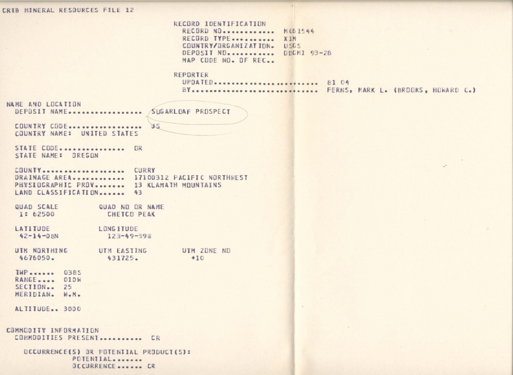CRIB MINERAL RESOURCES FILE 12

RECORD IDENTIFICATION RECORD NO. ........... NO61544 RECORD TYPE........... XIM COUNTRY/BRGANIZATION. USGS DEPOSIT NO. ........... ODGMJ 93-28 MAP CODE NO. DE REC.

### REPORTER

UPDATED........................... 81 04 BY.............................. FERNS, MARK L. (BROOKS, HOWARD C.)

NAME AND LOCATION SUGARLOAF PROSPECT DEPOSIT NAME ...................

COUNTRY CODE ................... COUNTRY NAME: UNITED STATES

STATE CODE................ OR STATE NAME: OREGON

COUNTY .................... CURRY DRAINAGE AREA............ 17100312 PACIFIC NORTHHEST PHYSIOGRAPHIC PROV....... 13 KLAMATH MOUNTAINS LAND CLASSIFICATION......  $43$ 

**US** 

QUAD SCALE QUAD NO OR NAME 1: 62500 CHETCO PEAK

LATITUDE LONG ITUDE  $123 - 49 - 398$  $42 - 14 - 08N$ 

UTM NORTHING UTM ZONE ND UTM EASTING 4676050. 431725.  $+10$ 

TWP....... 0385 RANGE.... 010W SECTION.. 25 MERIDIAN. W.M.

ALTITUDE.. 3000

COMMODITY INFORMATION COMMODITIES PRESENT........... CR

> BCCURRENCE(S) BR FOTENTIAL PRODUCT(S): POTENTIAL....... **DCCURRENCE....... CR**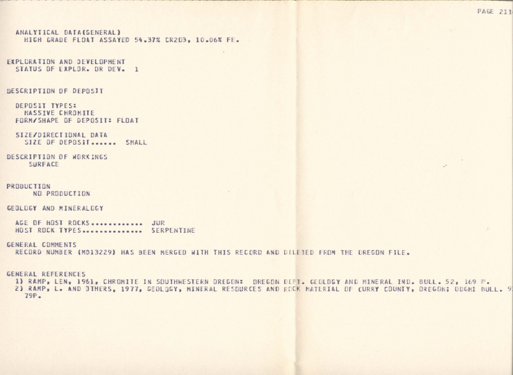ANALYTICAL DATA(SENERAL) HIGH GRADE FLOAT ASSAYED 54.37% CR2D3. 10.06% FE.

```
EXPLORATION AND DEVELOPMENT
STATUS OF EXPLOR. OR DEV. 1
```
**DESCRIPTION OF DEPOSIT** 

DEPOSIT TYPES: MASSIVE CHROMITE FORM/SHAPE OF DEPOSIT: FLOAT

SIZE/DIRECTIONAL DATA SIZE OF DEPOSIT....... SMALL

DESCRIPTION OF WORKINGS SURFACE

PRODUCTION NO PRODUCTION

GEBLOGY AND MINERALDGY

AGE OF HOST ROCKS .............. JUR HOST ROCK TYPES ............... SERPENTINE

GENERAL COMMENTS

RECORD NUMBER (M013229) HAS BEEN MERGED WITH THIS RECORD AND DELETED FROM THE OREGON FILE.

GENERAL REFERENCES

1) RAMP, LEN, 1961, CHROMITE IN SOUTHWESTERN OREGON: OREGON DEFT. GEOLOGY AND MINERAL IND. BULL. 52, 169 P. 2) RAMP, L. AND JTHERS, 1977, GEOLDGY, MINERAL RESOURCES AND ROCK MATERIAL OF CURRY COUNTY, OREGON; ODGMI BULL. 9  $79P -$